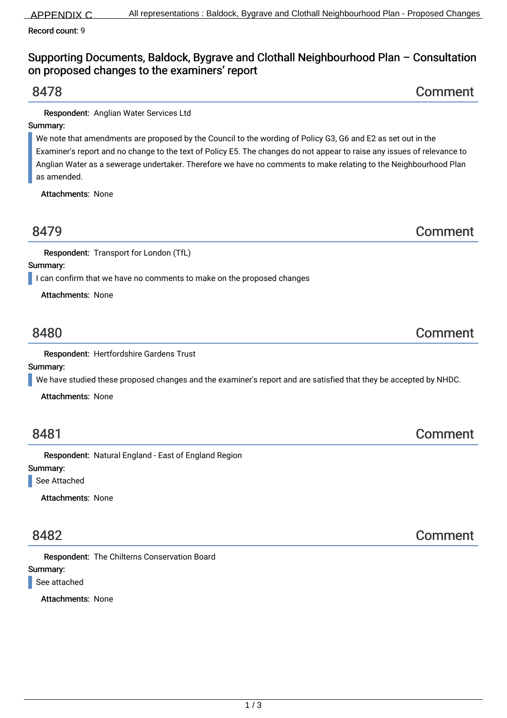Record count: 9

# Supporting Documents, Baldock, Bygrave and Clothall Neighbourhood Plan – Consultation on proposed changes to the examiners' report

8478 Comment

Respondent: Anglian Water Services Ltd

# Summary:

We note that amendments are proposed by the Council to the wording of Policy G3, G6 and E2 as set out in the Examiner's report and no change to the text of Policy E5. The changes do not appear to raise any issues of relevance to Anglian Water as a sewerage undertaker. Therefore we have no comments to make relating to the Neighbourhood Plan as amended.

Attachments: None

8479 Comment

Respondent: Transport for London (TfL)

Summary:

I can confirm that we have no comments to make on the proposed changes

Attachments: None

# 8480 Comment

Respondent: Hertfordshire Gardens Trust

Summary:

We have studied these proposed changes and the examiner's report and are satisfied that they be accepted by NHDC.

Attachments: None

# 8481 Comment

Respondent: Natural England - East of England Region

### Summary: See Attached

Attachments: None

Respondent: The Chilterns Conservation Board

## Summary:

See attached

Attachments: None

# 8482 Comment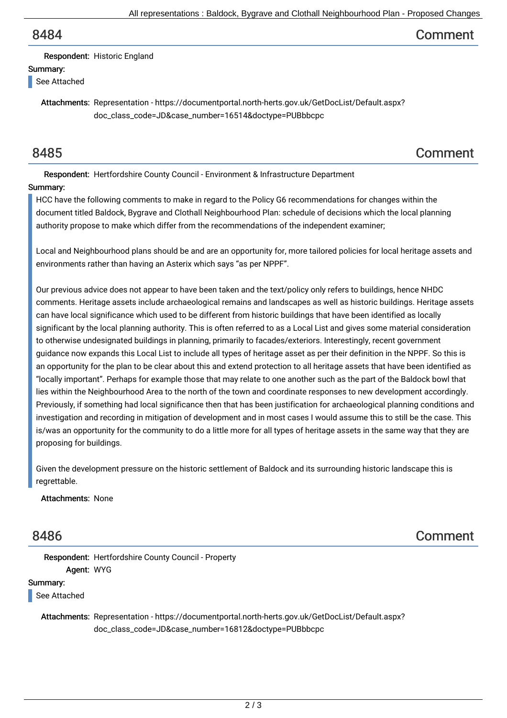# 8484 Comment

Respondent: Historic England

## Summary:

See Attached

Attachments: Representation - https://documentportal.north-herts.gov.uk/GetDocList/Default.aspx? doc\_class\_code=JD&case\_number=16514&doctype=PUBbbcpc

# 8485 Comment

Respondent: Hertfordshire County Council - Environment & Infrastructure Department

## Summary:

HCC have the following comments to make in regard to the Policy G6 recommendations for changes within the document titled Baldock, Bygrave and Clothall Neighbourhood Plan: schedule of decisions which the local planning authority propose to make which differ from the recommendations of the independent examiner;

Local and Neighbourhood plans should be and are an opportunity for, more tailored policies for local heritage assets and environments rather than having an Asterix which says "as per NPPF".

Our previous advice does not appear to have been taken and the text/policy only refers to buildings, hence NHDC comments. Heritage assets include archaeological remains and landscapes as well as historic buildings. Heritage assets can have local significance which used to be different from historic buildings that have been identified as locally significant by the local planning authority. This is often referred to as a Local List and gives some material consideration to otherwise undesignated buildings in planning, primarily to facades/exteriors. Interestingly, recent government guidance now expands this Local List to include all types of heritage asset as per their definition in the NPPF. So this is an opportunity for the plan to be clear about this and extend protection to all heritage assets that have been identified as "locally important". Perhaps for example those that may relate to one another such as the part of the Baldock bowl that lies within the Neighbourhood Area to the north of the town and coordinate responses to new development accordingly. Previously, if something had local significance then that has been justification for archaeological planning conditions and investigation and recording in mitigation of development and in most cases I would assume this to still be the case. This is/was an opportunity for the community to do a little more for all types of heritage assets in the same way that they are proposing for buildings.

Given the development pressure on the historic settlement of Baldock and its surrounding historic landscape this is regrettable.

Attachments: None

8486 Comment

Respondent: Hertfordshire County Council - Property Agent: WYG

Summary:

See Attached

Attachments: Representation - https://documentportal.north-herts.gov.uk/GetDocList/Default.aspx? doc\_class\_code=JD&case\_number=16812&doctype=PUBbbcpc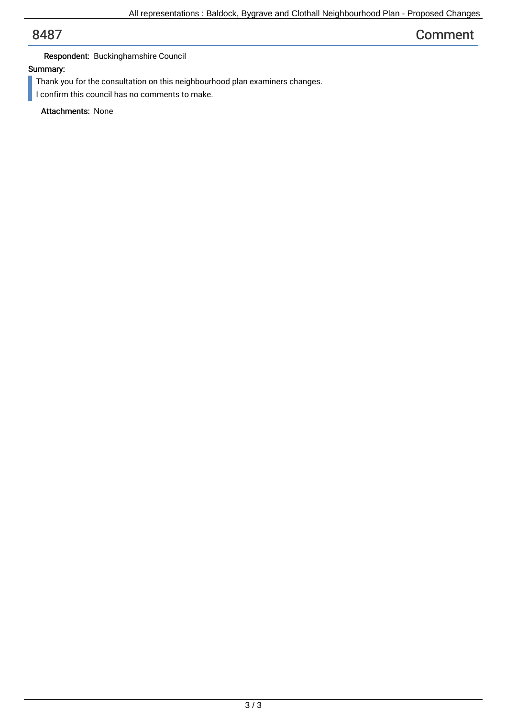# 8487 Comment

## Respondent: Buckinghamshire Council

## Summary:

- Thank you for the consultation on this neighbourhood plan examiners changes.
- I confirm this council has no comments to make.

Attachments: None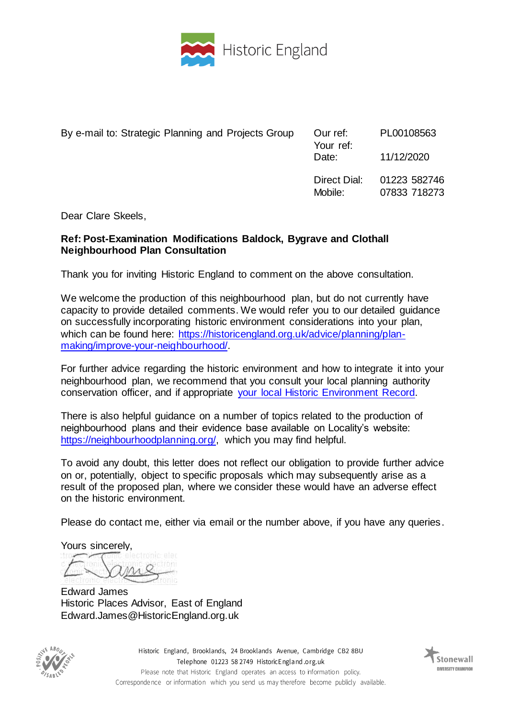

| By e-mail to: Strategic Planning and Projects Group | Our ref:<br>Your ref:<br>Date: | PL00108563<br>11/12/2020     |
|-----------------------------------------------------|--------------------------------|------------------------------|
|                                                     | Direct Dial:<br>Mobile:        | 01223 582746<br>07833 718273 |

Dear Clare Skeels,

## **Ref: Post-Examination Modifications Baldock, Bygrave and Clothall Neighbourhood Plan Consultation**

Thank you for inviting Historic England to comment on the above consultation.

We welcome the production of this neighbourhood plan, but do not currently have capacity to provide detailed comments. We would refer you to our detailed guidance on successfully incorporating historic environment considerations into your plan, which can be found here: [https://historicengland.org.uk/advice/planning/plan](https://historicengland.org.uk/advice/planning/plan-making/improve-your-neighbourhood/)[making/improve-your-neighbourhood/.](https://historicengland.org.uk/advice/planning/plan-making/improve-your-neighbourhood/) 

For further advice regarding the historic environment and how to integrate it into your neighbourhood plan, we recommend that you consult your local planning authority conservation officer, and if appropriate your local [Historic Environment Record.](https://www.heritagegateway.org.uk/Gateway/CHR/)

There is also helpful guidance on a number of topics related to the production of neighbourhood plans and their evidence base available on Locality's website: [https://neighbourhoodplanning.org/,](https://neighbourhoodplanning.org/) which you may find helpful.

To avoid any doubt, this letter does not reflect our obligation to provide further advice on or, potentially, object to specific proposals which may subsequently arise as a result of the proposed plan, where we consider these would have an adverse effect on the historic environment.

Please do contact me, either via email or the number above, if you have any queries.

Yours sincerely,

Edward James Historic Places Advisor, East of England Edward.James@HistoricEngland.org.uk



Historic England, Brooklands, 24 Brooklands Avenue, Cambridge CB2 8BU Telephone 01223 58 2749 HistoricEngland.org.uk Please note that Historic England operates an access to information policy. Correspondence or information which you send us may therefore become publicly available.

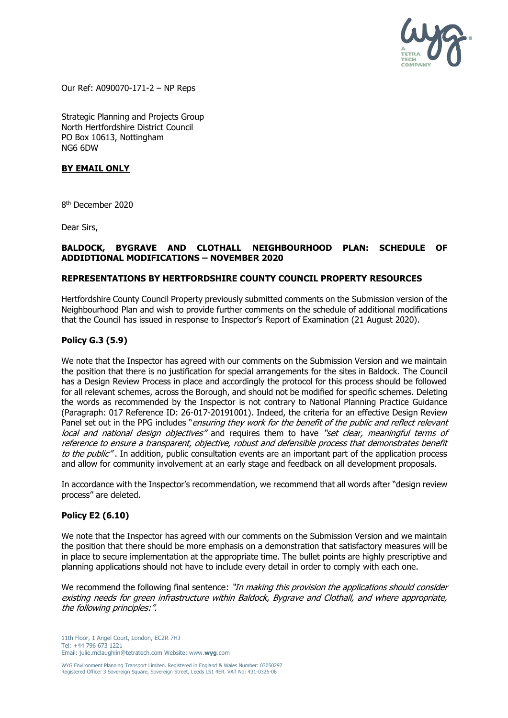

Our Ref: A090070-171-2 – NP Reps

Strategic Planning and Projects Group North Hertfordshire District Council PO Box 10613, Nottingham NG6 6DW

### **BY EMAIL ONLY**

8 th December 2020

Dear Sirs,

### **BALDOCK, BYGRAVE AND CLOTHALL NEIGHBOURHOOD PLAN: SCHEDULE OF ADDIDTIONAL MODIFICATIONS – NOVEMBER 2020**

### **REPRESENTATIONS BY HERTFORDSHIRE COUNTY COUNCIL PROPERTY RESOURCES**

Hertfordshire County Council Property previously submitted comments on the Submission version of the Neighbourhood Plan and wish to provide further comments on the schedule of additional modifications that the Council has issued in response to Inspector's Report of Examination (21 August 2020).

### **Policy G.3 (5.9)**

We note that the Inspector has agreed with our comments on the Submission Version and we maintain the position that there is no justification for special arrangements for the sites in Baldock. The Council has a Design Review Process in place and accordingly the protocol for this process should be followed for all relevant schemes, across the Borough, and should not be modified for specific schemes. Deleting the words as recommended by the Inspector is not contrary to National Planning Practice Guidance (Paragraph: 017 Reference ID: 26-017-20191001). Indeed, the criteria for an effective Design Review Panel set out in the PPG includes "ensuring they work for the benefit of the public and reflect relevant local and national design objectives" and requires them to have "set clear, meaningful terms of reference to ensure a transparent, objective, robust and defensible process that demonstrates benefit to the public". In addition, public consultation events are an important part of the application process and allow for community involvement at an early stage and feedback on all development proposals.

In accordance with the Inspector's recommendation, we recommend that all words after "design review process" are deleted.

### **Policy E2 (6.10)**

We note that the Inspector has agreed with our comments on the Submission Version and we maintain the position that there should be more emphasis on a demonstration that satisfactory measures will be in place to secure implementation at the appropriate time. The bullet points are highly prescriptive and planning applications should not have to include every detail in order to comply with each one.

We recommend the following final sentence: "In making this provision the applications should consider existing needs for green infrastructure within Baldock, Bygrave and Clothall, and where appropriate, the following principles:".

11th Floor, 1 Angel Court, London, EC2R 7HJ Tel: +44 796 673 1221 Email: julie.mclaughlin@tetratech.com Website: www.**wyg**.com

WYG Environment Planning Transport Limited. Registered in England & Wales Number: 03050297 Registered Office: 3 Sovereign Square, Sovereign Street, Leeds LS1 4ER. VAT No: 431-0326-08